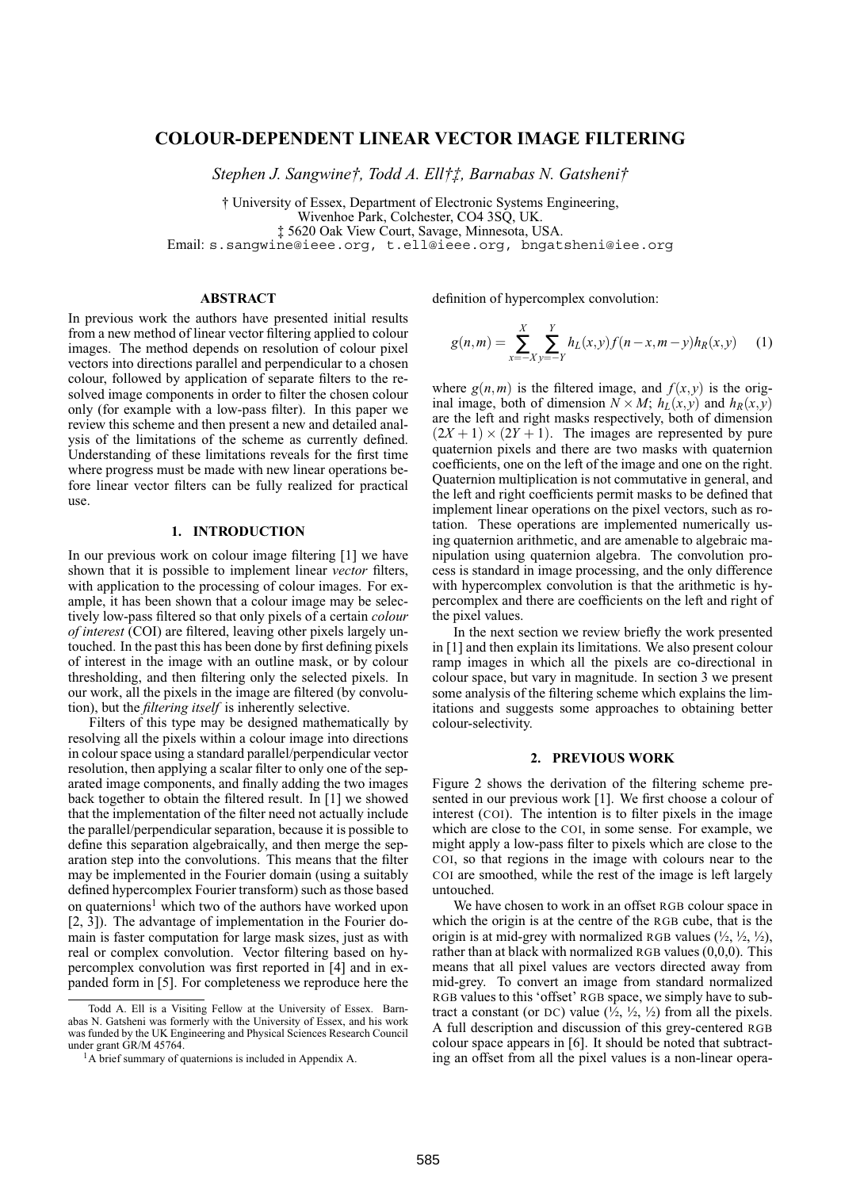# **COLOUR-DEPENDENT LINEAR VECTOR IMAGE FILTERING**

*Stephen J. Sangwine†, Todd A. Ell†‡, Barnabas N. Gatsheni†*

† University of Essex, Department of Electronic Systems Engineering, Wivenhoe Park, Colchester, CO4 3SQ, UK. ‡ 5620 Oak View Court, Savage, Minnesota, USA.

Email: s.sangwine@ieee.org, t.ell@ieee.org, bngatsheni@iee.org

### **ABSTRACT**

In previous work the authors have presented initial results from a new method of linear vector filtering applied to colour images. The method depends on resolution of colour pixel vectors into directions parallel and perpendicular to a chosen colour, followed by application of separate filters to the resolved image components in order to filter the chosen colour only (for example with a low-pass filter). In this paper we review this scheme and then present a new and detailed analysis of the limitations of the scheme as currently defined. Understanding of these limitations reveals for the first time where progress must be made with new linear operations before linear vector filters can be fully realized for practical use.

## **1. INTRODUCTION**

In our previous work on colour image filtering [1] we have shown that it is possible to implement linear *vector* filters, with application to the processing of colour images. For example, it has been shown that a colour image may be selectively low-pass filtered so that only pixels of a certain *colour of interest* (COI) are filtered, leaving other pixels largely untouched. In the past this has been done by first defining pixels of interest in the image with an outline mask, or by colour thresholding, and then filtering only the selected pixels. In our work, all the pixels in the image are filtered (by convolution), but the *filtering itself* is inherently selective.

Filters of this type may be designed mathematically by resolving all the pixels within a colour image into directions in colour space using a standard parallel/perpendicular vector resolution, then applying a scalar filter to only one of the separated image components, and finally adding the two images back together to obtain the filtered result. In [1] we showed that the implementation of the filter need not actually include the parallel/perpendicular separation, because it is possible to define this separation algebraically, and then merge the separation step into the convolutions. This means that the filter may be implemented in the Fourier domain (using a suitably defined hypercomplex Fourier transform) such as those based on quaternions<sup>1</sup> which two of the authors have worked upon [2, 3]). The advantage of implementation in the Fourier domain is faster computation for large mask sizes, just as with real or complex convolution. Vector filtering based on hypercomplex convolution was first reported in [4] and in expanded form in [5]. For completeness we reproduce here the

definition of hypercomplex convolution:

$$
g(n,m) = \sum_{x=-X}^{X} \sum_{y=-Y}^{Y} h_L(x,y) f(n-x,m-y) h_R(x,y)
$$
 (1)

where  $g(n,m)$  is the filtered image, and  $f(x,y)$  is the original image, both of dimension  $N \times M$ ;  $h_L(x, y)$  and  $h_R(x, y)$ are the left and right masks respectively, both of dimension  $(2X + 1) \times (2Y + 1)$ . The images are represented by pure quaternion pixels and there are two masks with quaternion coefficients, one on the left of the image and one on the right. Quaternion multiplication is not commutative in general, and the left and right coefficients permit masks to be defined that implement linear operations on the pixel vectors, such as rotation. These operations are implemented numerically using quaternion arithmetic, and are amenable to algebraic manipulation using quaternion algebra. The convolution process is standard in image processing, and the only difference with hypercomplex convolution is that the arithmetic is hypercomplex and there are coefficients on the left and right of the pixel values.

In the next section we review briefly the work presented in [1] and then explain its limitations. We also present colour ramp images in which all the pixels are co-directional in colour space, but vary in magnitude. In section 3 we present some analysis of the filtering scheme which explains the limitations and suggests some approaches to obtaining better colour-selectivity.

#### **2. PREVIOUS WORK**

Figure 2 shows the derivation of the filtering scheme presented in our previous work [1]. We first choose a colour of interest (COI). The intention is to filter pixels in the image which are close to the COI, in some sense. For example, we might apply a low-pass filter to pixels which are close to the COI, so that regions in the image with colours near to the COI are smoothed, while the rest of the image is left largely untouched.

We have chosen to work in an offset RGB colour space in which the origin is at the centre of the RGB cube, that is the origin is at mid-grey with normalized RGB values  $(\frac{1}{2}, \frac{1}{2}, \frac{1}{2})$ , rather than at black with normalized RGB values (0,0,0). This means that all pixel values are vectors directed away from mid-grey. To convert an image from standard normalized RGB values to this 'offset' RGB space, we simply have to subtract a constant (or DC) value  $(\frac{1}{2}, \frac{1}{2}, \frac{1}{2})$  from all the pixels. A full description and discussion of this grey-centered RGB colour space appears in [6]. It should be noted that subtracting an offset from all the pixel values is a non-linear opera-

Todd A. Ell is a Visiting Fellow at the University of Essex. Barnabas N. Gatsheni was formerly with the University of Essex, and his work was funded by the UK Engineering and Physical Sciences Research Council under grant GR/M 45764.

<sup>&</sup>lt;sup>1</sup>A brief summary of quaternions is included in Appendix A.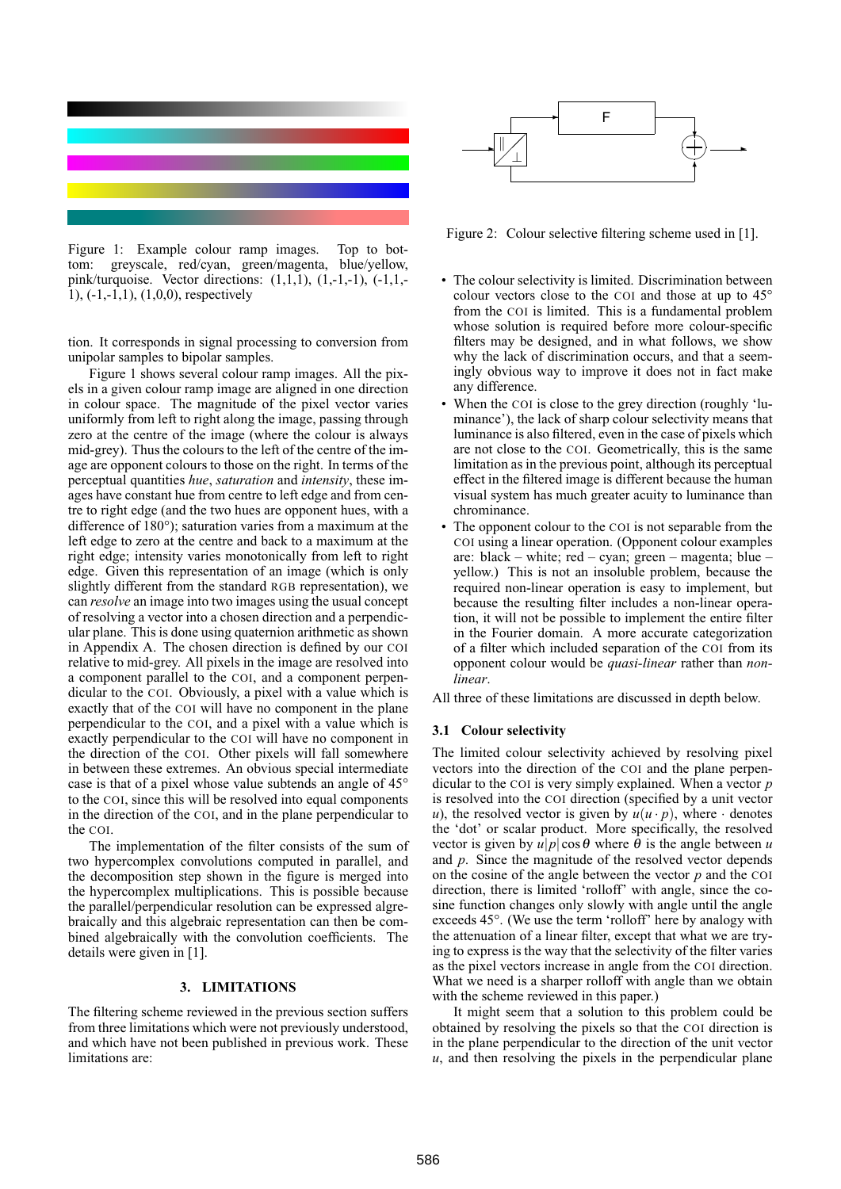

Figure 1: Example colour ramp images. Top to bottom: greyscale, red/cyan, green/magenta, blue/yellow, pink/turquoise. Vector directions:  $(1,1,1)$ ,  $(1,-1,-1)$ ,  $(-1,1,-1)$ 1), (-1,-1,1), (1,0,0), respectively

tion. It corresponds in signal processing to conversion from unipolar samples to bipolar samples.

Figure 1 shows several colour ramp images. All the pixels in a given colour ramp image are aligned in one direction in colour space. The magnitude of the pixel vector varies uniformly from left to right along the image, passing through zero at the centre of the image (where the colour is always mid-grey). Thus the colours to the left of the centre of the image are opponent colours to those on the right. In terms of the perceptual quantities *hue*, *saturation* and *intensity*, these images have constant hue from centre to left edge and from centre to right edge (and the two hues are opponent hues, with a difference of 180°); saturation varies from a maximum at the left edge to zero at the centre and back to a maximum at the right edge; intensity varies monotonically from left to right edge. Given this representation of an image (which is only slightly different from the standard RGB representation), we can *resolve* an image into two images using the usual concept of resolving a vector into a chosen direction and a perpendicular plane. This is done using quaternion arithmetic as shown in Appendix A. The chosen direction is defined by our COI relative to mid-grey. All pixels in the image are resolved into a component parallel to the COI, and a component perpendicular to the COI. Obviously, a pixel with a value which is exactly that of the COI will have no component in the plane perpendicular to the COI, and a pixel with a value which is exactly perpendicular to the COI will have no component in the direction of the COI. Other pixels will fall somewhere in between these extremes. An obvious special intermediate case is that of a pixel whose value subtends an angle of 45° to the COI, since this will be resolved into equal components in the direction of the COI, and in the plane perpendicular to the COI.

The implementation of the filter consists of the sum of two hypercomplex convolutions computed in parallel, and the decomposition step shown in the figure is merged into the hypercomplex multiplications. This is possible because the parallel/perpendicular resolution can be expressed algrebraically and this algebraic representation can then be combined algebraically with the convolution coefficients. The details were given in [1].

#### **3. LIMITATIONS**

The filtering scheme reviewed in the previous section suffers from three limitations which were not previously understood, and which have not been published in previous work. These limitations are:



Figure 2: Colour selective filtering scheme used in [1].

- The colour selectivity is limited. Discrimination between colour vectors close to the COI and those at up to 45° from the COI is limited. This is a fundamental problem whose solution is required before more colour-specific filters may be designed, and in what follows, we show why the lack of discrimination occurs, and that a seemingly obvious way to improve it does not in fact make any difference.
- When the COI is close to the grey direction (roughly 'luminance'), the lack of sharp colour selectivity means that luminance is also filtered, even in the case of pixels which are not close to the COI. Geometrically, this is the same limitation as in the previous point, although its perceptual effect in the filtered image is different because the human visual system has much greater acuity to luminance than chrominance.
- The opponent colour to the COI is not separable from the COI using a linear operation. (Opponent colour examples are: black – white; red – cyan; green – magenta; blue – yellow.) This is not an insoluble problem, because the required non-linear operation is easy to implement, but because the resulting filter includes a non-linear operation, it will not be possible to implement the entire filter in the Fourier domain. A more accurate categorization of a filter which included separation of the COI from its opponent colour would be *quasi-linear* rather than *nonlinear*.

All three of these limitations are discussed in depth below.

#### **3.1 Colour selectivity**

The limited colour selectivity achieved by resolving pixel vectors into the direction of the COI and the plane perpendicular to the COI is very simply explained. When a vector *p* is resolved into the COI direction (specified by a unit vector *u*), the resolved vector is given by  $u(u \cdot p)$ , where  $\cdot$  denotes the 'dot' or scalar product. More specifically, the resolved vector is given by  $u|p|\cos\theta$  where  $\theta$  is the angle between *u* and *p*. Since the magnitude of the resolved vector depends on the cosine of the angle between the vector *p* and the COI direction, there is limited 'rolloff' with angle, since the cosine function changes only slowly with angle until the angle exceeds 45°. (We use the term 'rolloff' here by analogy with the attenuation of a linear filter, except that what we are trying to express is the way that the selectivity of the filter varies as the pixel vectors increase in angle from the COI direction. What we need is a sharper rolloff with angle than we obtain with the scheme reviewed in this paper.)

It might seem that a solution to this problem could be obtained by resolving the pixels so that the COI direction is in the plane perpendicular to the direction of the unit vector *u*, and then resolving the pixels in the perpendicular plane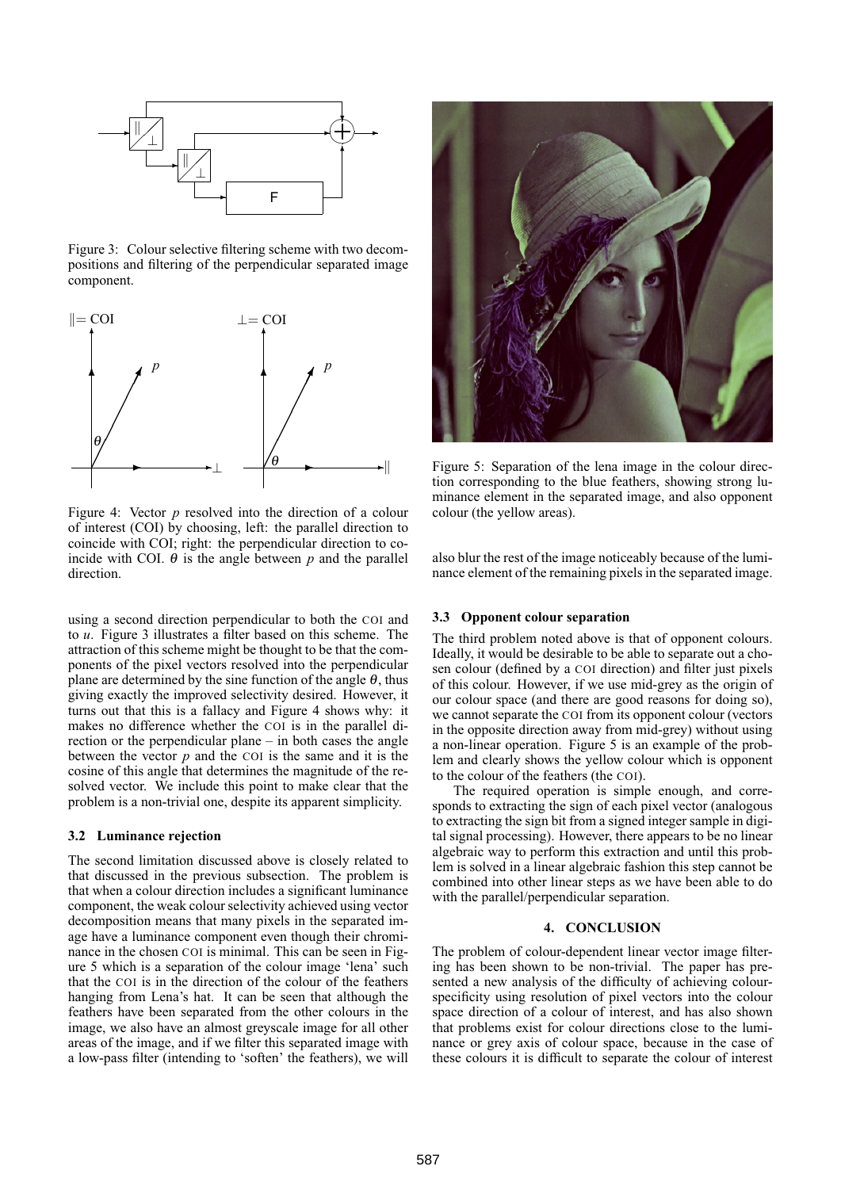

Figure 3: Colour selective filtering scheme with two decompositions and filtering of the perpendicular separated image component.



Figure 4: Vector *p* resolved into the direction of a colour of interest (COI) by choosing, left: the parallel direction to coincide with COI; right: the perpendicular direction to coincide with COI.  $\theta$  is the angle between p and the parallel direction.

using a second direction perpendicular to both the COI and to *u*. Figure 3 illustrates a filter based on this scheme. The attraction of this scheme might be thought to be that the components of the pixel vectors resolved into the perpendicular plane are determined by the sine function of the angle  $\theta$ , thus giving exactly the improved selectivity desired. However, it turns out that this is a fallacy and Figure 4 shows why: it makes no difference whether the COI is in the parallel direction or the perpendicular plane – in both cases the angle between the vector *p* and the COI is the same and it is the cosine of this angle that determines the magnitude of the resolved vector. We include this point to make clear that the problem is a non-trivial one, despite its apparent simplicity.

#### **3.2 Luminance rejection**

The second limitation discussed above is closely related to that discussed in the previous subsection. The problem is that when a colour direction includes a significant luminance component, the weak colour selectivity achieved using vector decomposition means that many pixels in the separated image have a luminance component even though their chrominance in the chosen COI is minimal. This can be seen in Figure 5 which is a separation of the colour image 'lena' such that the COI is in the direction of the colour of the feathers hanging from Lena's hat. It can be seen that although the feathers have been separated from the other colours in the image, we also have an almost greyscale image for all other areas of the image, and if we filter this separated image with a low-pass filter (intending to 'soften' the feathers), we will



Figure 5: Separation of the lena image in the colour direction corresponding to the blue feathers, showing strong luminance element in the separated image, and also opponent colour (the yellow areas).

also blur the rest of the image noticeably because of the luminance element of the remaining pixels in the separated image.

#### **3.3 Opponent colour separation**

The third problem noted above is that of opponent colours. Ideally, it would be desirable to be able to separate out a chosen colour (defined by a COI direction) and filter just pixels of this colour. However, if we use mid-grey as the origin of our colour space (and there are good reasons for doing so), we cannot separate the COI from its opponent colour (vectors in the opposite direction away from mid-grey) without using a non-linear operation. Figure 5 is an example of the problem and clearly shows the yellow colour which is opponent to the colour of the feathers (the COI).

The required operation is simple enough, and corresponds to extracting the sign of each pixel vector (analogous to extracting the sign bit from a signed integer sample in digital signal processing). However, there appears to be no linear algebraic way to perform this extraction and until this problem is solved in a linear algebraic fashion this step cannot be combined into other linear steps as we have been able to do with the parallel/perpendicular separation.

### **4. CONCLUSION**

The problem of colour-dependent linear vector image filtering has been shown to be non-trivial. The paper has presented a new analysis of the difficulty of achieving colourspecificity using resolution of pixel vectors into the colour space direction of a colour of interest, and has also shown that problems exist for colour directions close to the luminance or grey axis of colour space, because in the case of these colours it is difficult to separate the colour of interest